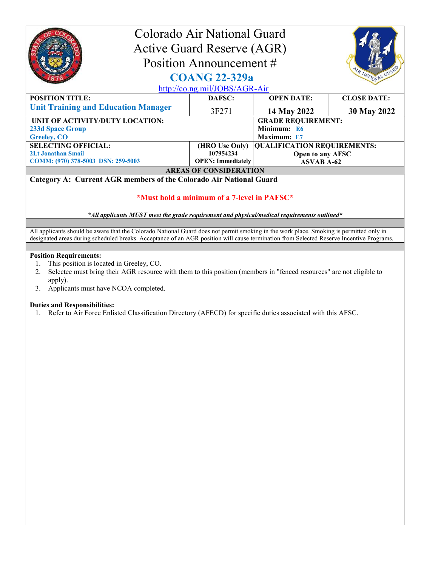| Colorado Air National Guard                                                                                                              |                          |                                    |                    |  |  |
|------------------------------------------------------------------------------------------------------------------------------------------|--------------------------|------------------------------------|--------------------|--|--|
| <b>Active Guard Reserve (AGR)</b>                                                                                                        |                          |                                    |                    |  |  |
|                                                                                                                                          | Position Announcement #  |                                    |                    |  |  |
| R NATIONAL GUA<br><b>COANG 22-329a</b>                                                                                                   |                          |                                    |                    |  |  |
| http://co.ng.mil/JOBS/AGR-Air                                                                                                            |                          |                                    |                    |  |  |
| <b>POSITION TITLE:</b>                                                                                                                   | DAFSC:                   | <b>OPEN DATE:</b>                  | <b>CLOSE DATE:</b> |  |  |
| <b>Unit Training and Education Manager</b>                                                                                               | 3F271                    | 14 May 2022                        | 30 May 2022        |  |  |
| UNIT OF ACTIVITY/DUTY LOCATION:                                                                                                          |                          | <b>GRADE REQUIREMENT:</b>          |                    |  |  |
| <b>233d Space Group</b>                                                                                                                  |                          | Minimum: E6                        |                    |  |  |
| <b>Greeley, CO</b>                                                                                                                       |                          | Maximum: E7                        |                    |  |  |
| <b>SELECTING OFFICIAL:</b>                                                                                                               | (HRO Use Only)           | <b>QUALIFICATION REQUIREMENTS:</b> |                    |  |  |
| <b>2Lt Jonathan Smail</b>                                                                                                                | 107954234                | Open to any AFSC                   |                    |  |  |
| COMM: (970) 378-5003 DSN: 259-5003                                                                                                       | <b>OPEN: Immediately</b> | <b>ASVAB A-62</b>                  |                    |  |  |
| <b>AREAS OF CONSIDERATION</b>                                                                                                            |                          |                                    |                    |  |  |
| Category A: Current AGR members of the Colorado Air National Guard                                                                       |                          |                                    |                    |  |  |
|                                                                                                                                          |                          |                                    |                    |  |  |
| *Must hold a minimum of a 7-level in PAFSC*                                                                                              |                          |                                    |                    |  |  |
|                                                                                                                                          |                          |                                    |                    |  |  |
| $*$ All applicants MUST meet the grade requirement and physical/medical requirements outlined $*$                                        |                          |                                    |                    |  |  |
|                                                                                                                                          |                          |                                    |                    |  |  |
| All applicants should be aware that the Colorado National Guard does not permit smoking in the work place. Smoking is permitted only in  |                          |                                    |                    |  |  |
| designated areas during scheduled breaks. Acceptance of an AGR position will cause termination from Selected Reserve Incentive Programs. |                          |                                    |                    |  |  |
|                                                                                                                                          |                          |                                    |                    |  |  |

## Position Requirements:

- 1. This position is located in Greeley, CO.
- 2. Selectee must bring their AGR resource with them to this position (members in "fenced resources" are not eligible to apply).
- 3. Applicants must have NCOA completed.

## Duties and Responsibilities:

1. Refer to Air Force Enlisted Classification Directory (AFECD) for specific duties associated with this AFSC.